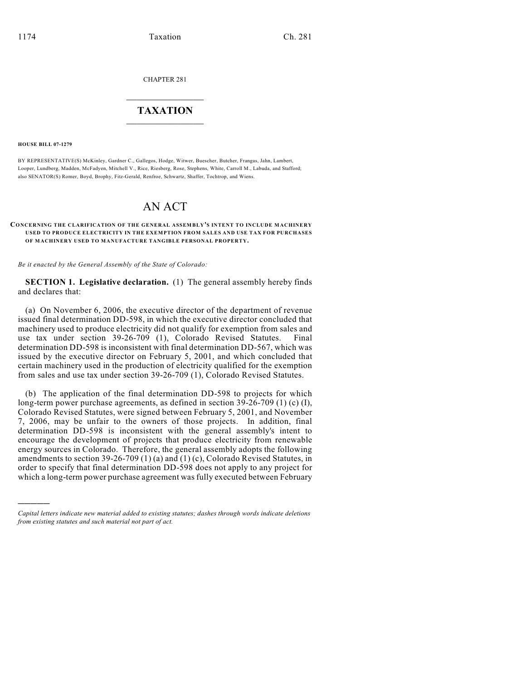CHAPTER 281

## $\mathcal{L}_\text{max}$  . The set of the set of the set of the set of the set of the set of the set of the set of the set of the set of the set of the set of the set of the set of the set of the set of the set of the set of the set **TAXATION**  $\_$

**HOUSE BILL 07-1279**

)))))

BY REPRESENTATIVE(S) McKinley, Gardner C., Gallegos, Hodge, Witwer, Buescher, Butcher, Frangas, Jahn, Lambert, Looper, Lundberg, Madden, McFadyen, Mitchell V., Rice, Riesberg, Rose, Stephens, White, Carroll M., Labuda, and Stafford; also SENATOR(S) Romer, Boyd, Brophy, Fitz-Gerald, Renfroe, Schwartz, Shaffer, Tochtrop, and Wiens.

## AN ACT

## **CONCERNING THE CLARIFICATION OF THE GENERAL ASSEMBLY'S INTENT TO INCLUDE MACHINERY USED TO PRODUCE ELECTRICITY IN THE EXEMPTION FROM SALES AND USE TAX FOR PURCHASES OF MACHINERY USED TO MANUFACTURE TANGIBLE PERSONAL PROPERTY.**

*Be it enacted by the General Assembly of the State of Colorado:*

**SECTION 1. Legislative declaration.** (1) The general assembly hereby finds and declares that:

(a) On November 6, 2006, the executive director of the department of revenue issued final determination DD-598, in which the executive director concluded that machinery used to produce electricity did not qualify for exemption from sales and use tax under section 39-26-709 (1), Colorado Revised Statutes. Final determination DD-598 is inconsistent with final determination DD-567, which was issued by the executive director on February 5, 2001, and which concluded that certain machinery used in the production of electricity qualified for the exemption from sales and use tax under section 39-26-709 (1), Colorado Revised Statutes.

(b) The application of the final determination DD-598 to projects for which long-term power purchase agreements, as defined in section 39-26-709 (1) (c) (I), Colorado Revised Statutes, were signed between February 5, 2001, and November 7, 2006, may be unfair to the owners of those projects. In addition, final determination DD-598 is inconsistent with the general assembly's intent to encourage the development of projects that produce electricity from renewable energy sources in Colorado. Therefore, the general assembly adopts the following amendments to section 39-26-709 (1) (a) and (1) (c), Colorado Revised Statutes, in order to specify that final determination DD-598 does not apply to any project for which a long-term power purchase agreement was fully executed between February

*Capital letters indicate new material added to existing statutes; dashes through words indicate deletions from existing statutes and such material not part of act.*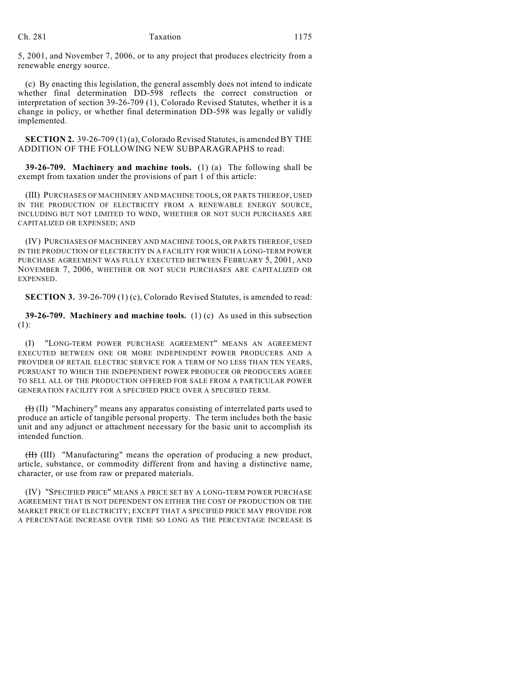5, 2001, and November 7, 2006, or to any project that produces electricity from a renewable energy source.

(c) By enacting this legislation, the general assembly does not intend to indicate whether final determination DD-598 reflects the correct construction or interpretation of section 39-26-709 (1), Colorado Revised Statutes, whether it is a change in policy, or whether final determination DD-598 was legally or validly implemented.

**SECTION 2.** 39-26-709 (1) (a), Colorado Revised Statutes, is amended BY THE ADDITION OF THE FOLLOWING NEW SUBPARAGRAPHS to read:

**39-26-709. Machinery and machine tools.** (1) (a) The following shall be exempt from taxation under the provisions of part 1 of this article:

(III) PURCHASES OF MACHINERY AND MACHINE TOOLS, OR PARTS THEREOF, USED IN THE PRODUCTION OF ELECTRICITY FROM A RENEWABLE ENERGY SOURCE, INCLUDING BUT NOT LIMITED TO WIND, WHETHER OR NOT SUCH PURCHASES ARE CAPITALIZED OR EXPENSED; AND

(IV) PURCHASES OF MACHINERY AND MACHINE TOOLS, OR PARTS THEREOF, USED IN THE PRODUCTION OF ELECTRICITY IN A FACILITY FOR WHICH A LONG-TERM POWER PURCHASE AGREEMENT WAS FULLY EXECUTED BETWEEN FEBRUARY 5, 2001, AND NOVEMBER 7, 2006, WHETHER OR NOT SUCH PURCHASES ARE CAPITALIZED OR EXPENSED.

**SECTION 3.** 39-26-709 (1) (c), Colorado Revised Statutes, is amended to read:

**39-26-709. Machinery and machine tools.** (1) (c) As used in this subsection (1):

(I) "LONG-TERM POWER PURCHASE AGREEMENT" MEANS AN AGREEMENT EXECUTED BETWEEN ONE OR MORE INDEPENDENT POWER PRODUCERS AND A PROVIDER OF RETAIL ELECTRIC SERVICE FOR A TERM OF NO LESS THAN TEN YEARS, PURSUANT TO WHICH THE INDEPENDENT POWER PRODUCER OR PRODUCERS AGREE TO SELL ALL OF THE PRODUCTION OFFERED FOR SALE FROM A PARTICULAR POWER GENERATION FACILITY FOR A SPECIFIED PRICE OVER A SPECIFIED TERM.

(I) (II) "Machinery" means any apparatus consisting of interrelated parts used to produce an article of tangible personal property. The term includes both the basic unit and any adjunct or attachment necessary for the basic unit to accomplish its intended function.

(II) (III) "Manufacturing" means the operation of producing a new product, article, substance, or commodity different from and having a distinctive name, character, or use from raw or prepared materials.

(IV) "SPECIFIED PRICE" MEANS A PRICE SET BY A LONG-TERM POWER PURCHASE AGREEMENT THAT IS NOT DEPENDENT ON EITHER THE COST OF PRODUCTION OR THE MARKET PRICE OF ELECTRICITY; EXCEPT THAT A SPECIFIED PRICE MAY PROVIDE FOR A PERCENTAGE INCREASE OVER TIME SO LONG AS THE PERCENTAGE INCREASE IS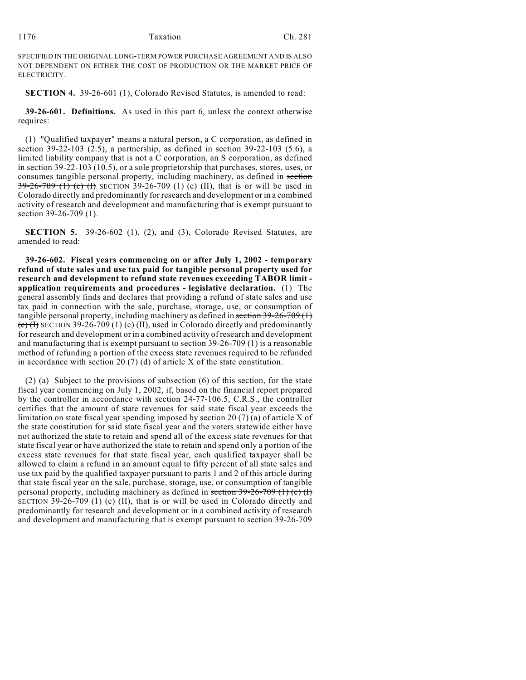SPECIFIED IN THE ORIGINAL LONG-TERM POWER PURCHASE AGREEMENT AND IS ALSO NOT DEPENDENT ON EITHER THE COST OF PRODUCTION OR THE MARKET PRICE OF ELECTRICITY.

**SECTION 4.** 39-26-601 (1), Colorado Revised Statutes, is amended to read:

**39-26-601. Definitions.** As used in this part 6, unless the context otherwise requires:

(1) "Qualified taxpayer" means a natural person, a C corporation, as defined in section 39-22-103  $(2.5)$ , a partnership, as defined in section 39-22-103 (5.6), a limited liability company that is not a C corporation, an S corporation, as defined in section 39-22-103 (10.5), or a sole proprietorship that purchases, stores, uses, or consumes tangible personal property, including machinery, as defined in section  $39-26-709$  (1) (c) (I) SECTION 39-26-709 (1) (c) (II), that is or will be used in Colorado directly and predominantly for research and development or in a combined activity of research and development and manufacturing that is exempt pursuant to section 39-26-709 (1).

**SECTION 5.** 39-26-602 (1), (2), and (3), Colorado Revised Statutes, are amended to read:

**39-26-602. Fiscal years commencing on or after July 1, 2002 - temporary refund of state sales and use tax paid for tangible personal property used for research and development to refund state revenues exceeding TABOR limit application requirements and procedures - legislative declaration.** (1) The general assembly finds and declares that providing a refund of state sales and use tax paid in connection with the sale, purchase, storage, use, or consumption of tangible personal property, including machinery as defined in section 39-26-709 (1)  $\overline{(c)}$  (I) SECTION 39-26-709 (1) (c) (II), used in Colorado directly and predominantly for research and development or in a combined activity of research and development and manufacturing that is exempt pursuant to section 39-26-709 (1) is a reasonable method of refunding a portion of the excess state revenues required to be refunded in accordance with section 20 (7) (d) of article X of the state constitution.

(2) (a) Subject to the provisions of subsection (6) of this section, for the state fiscal year commencing on July 1, 2002, if, based on the financial report prepared by the controller in accordance with section 24-77-106.5, C.R.S., the controller certifies that the amount of state revenues for said state fiscal year exceeds the limitation on state fiscal year spending imposed by section 20 (7) (a) of article X of the state constitution for said state fiscal year and the voters statewide either have not authorized the state to retain and spend all of the excess state revenues for that state fiscal year or have authorized the state to retain and spend only a portion of the excess state revenues for that state fiscal year, each qualified taxpayer shall be allowed to claim a refund in an amount equal to fifty percent of all state sales and use tax paid by the qualified taxpayer pursuant to parts 1 and 2 of this article during that state fiscal year on the sale, purchase, storage, use, or consumption of tangible personal property, including machinery as defined in section  $39-26-709$  (1) (e) (I) SECTION 39-26-709 (1) (c) (II), that is or will be used in Colorado directly and predominantly for research and development or in a combined activity of research and development and manufacturing that is exempt pursuant to section 39-26-709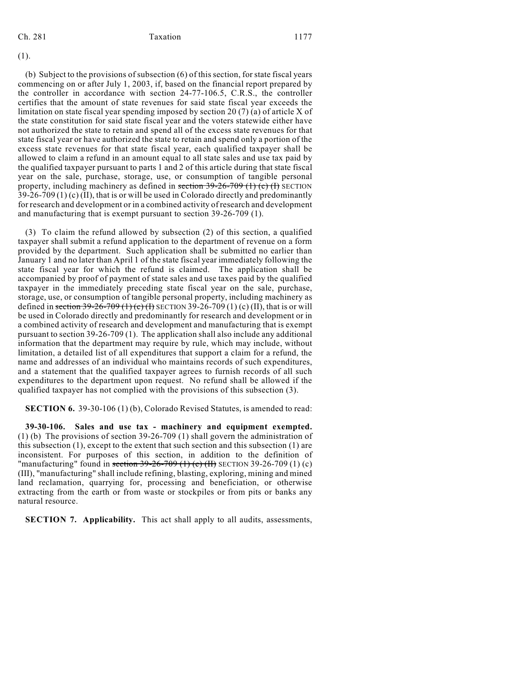(1).

(b) Subject to the provisions of subsection (6) of this section, for state fiscal years commencing on or after July 1, 2003, if, based on the financial report prepared by the controller in accordance with section 24-77-106.5, C.R.S., the controller certifies that the amount of state revenues for said state fiscal year exceeds the limitation on state fiscal year spending imposed by section 20 (7) (a) of article X of the state constitution for said state fiscal year and the voters statewide either have not authorized the state to retain and spend all of the excess state revenues for that state fiscal year or have authorized the state to retain and spend only a portion of the excess state revenues for that state fiscal year, each qualified taxpayer shall be allowed to claim a refund in an amount equal to all state sales and use tax paid by the qualified taxpayer pursuant to parts 1 and 2 of this article during that state fiscal year on the sale, purchase, storage, use, or consumption of tangible personal property, including machinery as defined in section  $39-26-709$  (1) (c) (f) SECTION  $39-26-709(1)$  (c) (II), that is or will be used in Colorado directly and predominantly for research and development or in a combined activity of research and development and manufacturing that is exempt pursuant to section 39-26-709 (1).

(3) To claim the refund allowed by subsection (2) of this section, a qualified taxpayer shall submit a refund application to the department of revenue on a form provided by the department. Such application shall be submitted no earlier than January 1 and no later than April 1 of the state fiscal year immediately following the state fiscal year for which the refund is claimed. The application shall be accompanied by proof of payment of state sales and use taxes paid by the qualified taxpayer in the immediately preceding state fiscal year on the sale, purchase, storage, use, or consumption of tangible personal property, including machinery as defined in section 39-26-709 (1) (c) (I) SECTION 39-26-709 (1) (c) (II), that is or will be used in Colorado directly and predominantly for research and development or in a combined activity of research and development and manufacturing that is exempt pursuant to section 39-26-709 (1). The application shall also include any additional information that the department may require by rule, which may include, without limitation, a detailed list of all expenditures that support a claim for a refund, the name and addresses of an individual who maintains records of such expenditures, and a statement that the qualified taxpayer agrees to furnish records of all such expenditures to the department upon request. No refund shall be allowed if the qualified taxpayer has not complied with the provisions of this subsection (3).

**SECTION 6.** 39-30-106 (1) (b), Colorado Revised Statutes, is amended to read:

**39-30-106. Sales and use tax - machinery and equipment exempted.** (1) (b) The provisions of section 39-26-709 (1) shall govern the administration of this subsection (1), except to the extent that such section and this subsection (1) are inconsistent. For purposes of this section, in addition to the definition of "manufacturing" found in section  $39-26-709$  (1) (c) (II) SECTION 39-26-709 (1) (c) (III), "manufacturing" shall include refining, blasting, exploring, mining and mined land reclamation, quarrying for, processing and beneficiation, or otherwise extracting from the earth or from waste or stockpiles or from pits or banks any natural resource.

**SECTION 7. Applicability.** This act shall apply to all audits, assessments,